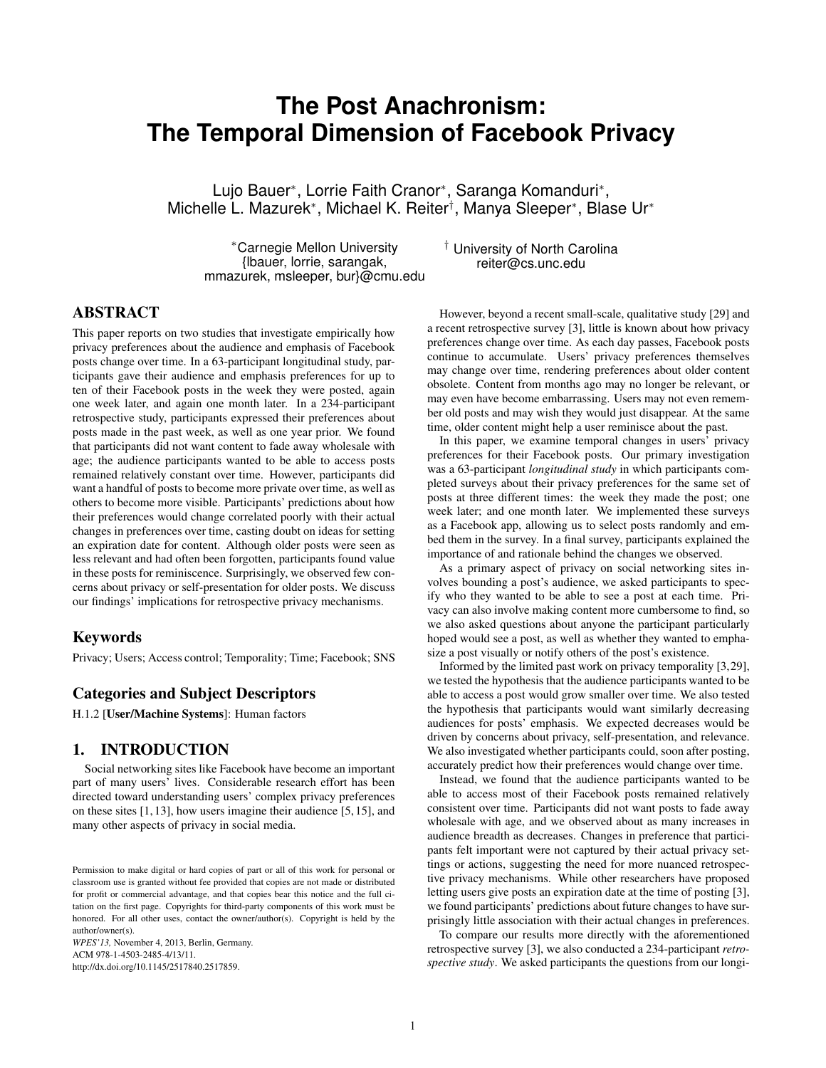# **The Post Anachronism: The Temporal Dimension of Facebook Privacy**

Lujo Bauer<sup>∗</sup> , Lorrie Faith Cranor<sup>∗</sup> , Saranga Komanduri<sup>∗</sup> , Michelle L. Mazurek<sup>∗</sup> , Michael K. Reiter† , Manya Sleeper<sup>∗</sup> , Blase Ur<sup>∗</sup>

<sup>∗</sup>Carnegie Mellon University {lbauer, lorrie, sarangak, mmazurek, msleeper, bur}@cmu.edu † University of North Carolina reiter@cs.unc.edu

# ABSTRACT

This paper reports on two studies that investigate empirically how privacy preferences about the audience and emphasis of Facebook posts change over time. In a 63-participant longitudinal study, participants gave their audience and emphasis preferences for up to ten of their Facebook posts in the week they were posted, again one week later, and again one month later. In a 234-participant retrospective study, participants expressed their preferences about posts made in the past week, as well as one year prior. We found that participants did not want content to fade away wholesale with age; the audience participants wanted to be able to access posts remained relatively constant over time. However, participants did want a handful of posts to become more private over time, as well as others to become more visible. Participants' predictions about how their preferences would change correlated poorly with their actual changes in preferences over time, casting doubt on ideas for setting an expiration date for content. Although older posts were seen as less relevant and had often been forgotten, participants found value in these posts for reminiscence. Surprisingly, we observed few concerns about privacy or self-presentation for older posts. We discuss our findings' implications for retrospective privacy mechanisms.

# Keywords

Privacy; Users; Access control; Temporality; Time; Facebook; SNS

### Categories and Subject Descriptors

H.1.2 [User/Machine Systems]: Human factors

# 1. INTRODUCTION

Social networking sites like Facebook have become an important part of many users' lives. Considerable research effort has been directed toward understanding users' complex privacy preferences on these sites [\[1,](#page-9-0) [13\]](#page-9-1), how users imagine their audience [\[5,](#page-9-2) [15\]](#page-9-3), and many other aspects of privacy in social media.

*WPES'13,* November 4, 2013, Berlin, Germany. ACM 978-1-4503-2485-4/13/11. http://dx.doi.org/10.1145/2517840.2517859.

However, beyond a recent small-scale, qualitative study [\[29\]](#page-9-4) and a recent retrospective survey [\[3\]](#page-9-5), little is known about how privacy preferences change over time. As each day passes, Facebook posts continue to accumulate. Users' privacy preferences themselves may change over time, rendering preferences about older content obsolete. Content from months ago may no longer be relevant, or may even have become embarrassing. Users may not even remember old posts and may wish they would just disappear. At the same time, older content might help a user reminisce about the past.

In this paper, we examine temporal changes in users' privacy preferences for their Facebook posts. Our primary investigation was a 63-participant *longitudinal study* in which participants completed surveys about their privacy preferences for the same set of posts at three different times: the week they made the post; one week later; and one month later. We implemented these surveys as a Facebook app, allowing us to select posts randomly and embed them in the survey. In a final survey, participants explained the importance of and rationale behind the changes we observed.

As a primary aspect of privacy on social networking sites involves bounding a post's audience, we asked participants to specify who they wanted to be able to see a post at each time. Privacy can also involve making content more cumbersome to find, so we also asked questions about anyone the participant particularly hoped would see a post, as well as whether they wanted to emphasize a post visually or notify others of the post's existence.

Informed by the limited past work on privacy temporality [\[3,](#page-9-5)[29\]](#page-9-4), we tested the hypothesis that the audience participants wanted to be able to access a post would grow smaller over time. We also tested the hypothesis that participants would want similarly decreasing audiences for posts' emphasis. We expected decreases would be driven by concerns about privacy, self-presentation, and relevance. We also investigated whether participants could, soon after posting, accurately predict how their preferences would change over time.

Instead, we found that the audience participants wanted to be able to access most of their Facebook posts remained relatively consistent over time. Participants did not want posts to fade away wholesale with age, and we observed about as many increases in audience breadth as decreases. Changes in preference that participants felt important were not captured by their actual privacy settings or actions, suggesting the need for more nuanced retrospective privacy mechanisms. While other researchers have proposed letting users give posts an expiration date at the time of posting [\[3\]](#page-9-5), we found participants' predictions about future changes to have surprisingly little association with their actual changes in preferences.

To compare our results more directly with the aforementioned retrospective survey [\[3\]](#page-9-5), we also conducted a 234-participant *retrospective study*. We asked participants the questions from our longi-

Permission to make digital or hard copies of part or all of this work for personal or classroom use is granted without fee provided that copies are not made or distributed for profit or commercial advantage, and that copies bear this notice and the full citation on the first page. Copyrights for third-party components of this work must be honored. For all other uses, contact the owner/author(s). Copyright is held by the author/owner(s).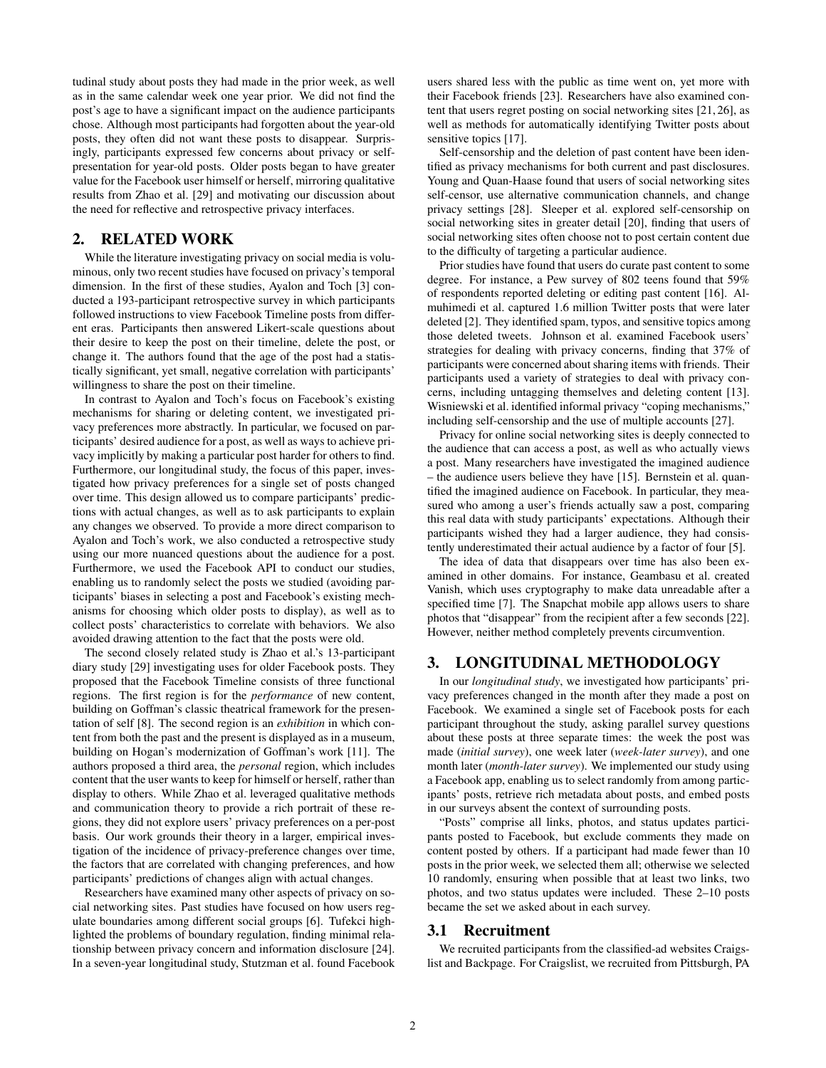tudinal study about posts they had made in the prior week, as well as in the same calendar week one year prior. We did not find the post's age to have a significant impact on the audience participants chose. Although most participants had forgotten about the year-old posts, they often did not want these posts to disappear. Surprisingly, participants expressed few concerns about privacy or selfpresentation for year-old posts. Older posts began to have greater value for the Facebook user himself or herself, mirroring qualitative results from Zhao et al. [\[29\]](#page-9-4) and motivating our discussion about the need for reflective and retrospective privacy interfaces.

# 2. RELATED WORK

While the literature investigating privacy on social media is voluminous, only two recent studies have focused on privacy's temporal dimension. In the first of these studies, Ayalon and Toch [\[3\]](#page-9-5) conducted a 193-participant retrospective survey in which participants followed instructions to view Facebook Timeline posts from different eras. Participants then answered Likert-scale questions about their desire to keep the post on their timeline, delete the post, or change it. The authors found that the age of the post had a statistically significant, yet small, negative correlation with participants' willingness to share the post on their timeline.

In contrast to Ayalon and Toch's focus on Facebook's existing mechanisms for sharing or deleting content, we investigated privacy preferences more abstractly. In particular, we focused on participants' desired audience for a post, as well as ways to achieve privacy implicitly by making a particular post harder for others to find. Furthermore, our longitudinal study, the focus of this paper, investigated how privacy preferences for a single set of posts changed over time. This design allowed us to compare participants' predictions with actual changes, as well as to ask participants to explain any changes we observed. To provide a more direct comparison to Ayalon and Toch's work, we also conducted a retrospective study using our more nuanced questions about the audience for a post. Furthermore, we used the Facebook API to conduct our studies, enabling us to randomly select the posts we studied (avoiding participants' biases in selecting a post and Facebook's existing mechanisms for choosing which older posts to display), as well as to collect posts' characteristics to correlate with behaviors. We also avoided drawing attention to the fact that the posts were old.

The second closely related study is Zhao et al.'s 13-participant diary study [\[29\]](#page-9-4) investigating uses for older Facebook posts. They proposed that the Facebook Timeline consists of three functional regions. The first region is for the *performance* of new content, building on Goffman's classic theatrical framework for the presentation of self [\[8\]](#page-9-6). The second region is an *exhibition* in which content from both the past and the present is displayed as in a museum, building on Hogan's modernization of Goffman's work [\[11\]](#page-9-7). The authors proposed a third area, the *personal* region, which includes content that the user wants to keep for himself or herself, rather than display to others. While Zhao et al. leveraged qualitative methods and communication theory to provide a rich portrait of these regions, they did not explore users' privacy preferences on a per-post basis. Our work grounds their theory in a larger, empirical investigation of the incidence of privacy-preference changes over time, the factors that are correlated with changing preferences, and how participants' predictions of changes align with actual changes.

Researchers have examined many other aspects of privacy on social networking sites. Past studies have focused on how users regulate boundaries among different social groups [\[6\]](#page-9-8). Tufekci highlighted the problems of boundary regulation, finding minimal relationship between privacy concern and information disclosure [\[24\]](#page-9-9). In a seven-year longitudinal study, Stutzman et al. found Facebook users shared less with the public as time went on, yet more with their Facebook friends [\[23\]](#page-9-10). Researchers have also examined content that users regret posting on social networking sites [\[21,](#page-9-11) [26\]](#page-9-12), as well as methods for automatically identifying Twitter posts about sensitive topics [\[17\]](#page-9-13).

Self-censorship and the deletion of past content have been identified as privacy mechanisms for both current and past disclosures. Young and Quan-Haase found that users of social networking sites self-censor, use alternative communication channels, and change privacy settings [\[28\]](#page-9-14). Sleeper et al. explored self-censorship on social networking sites in greater detail [\[20\]](#page-9-15), finding that users of social networking sites often choose not to post certain content due to the difficulty of targeting a particular audience.

Prior studies have found that users do curate past content to some degree. For instance, a Pew survey of 802 teens found that 59% of respondents reported deleting or editing past content [\[16\]](#page-9-16). Almuhimedi et al. captured 1.6 million Twitter posts that were later deleted [\[2\]](#page-9-17). They identified spam, typos, and sensitive topics among those deleted tweets. Johnson et al. examined Facebook users' strategies for dealing with privacy concerns, finding that 37% of participants were concerned about sharing items with friends. Their participants used a variety of strategies to deal with privacy concerns, including untagging themselves and deleting content [\[13\]](#page-9-1). Wisniewski et al. identified informal privacy "coping mechanisms," including self-censorship and the use of multiple accounts [\[27\]](#page-9-18).

Privacy for online social networking sites is deeply connected to the audience that can access a post, as well as who actually views a post. Many researchers have investigated the imagined audience – the audience users believe they have [\[15\]](#page-9-3). Bernstein et al. quantified the imagined audience on Facebook. In particular, they measured who among a user's friends actually saw a post, comparing this real data with study participants' expectations. Although their participants wished they had a larger audience, they had consistently underestimated their actual audience by a factor of four [\[5\]](#page-9-2).

The idea of data that disappears over time has also been examined in other domains. For instance, Geambasu et al. created Vanish, which uses cryptography to make data unreadable after a specified time [\[7\]](#page-9-19). The Snapchat mobile app allows users to share photos that "disappear" from the recipient after a few seconds [\[22\]](#page-9-20). However, neither method completely prevents circumvention.

# 3. LONGITUDINAL METHODOLOGY

In our *longitudinal study*, we investigated how participants' privacy preferences changed in the month after they made a post on Facebook. We examined a single set of Facebook posts for each participant throughout the study, asking parallel survey questions about these posts at three separate times: the week the post was made (*initial survey*), one week later (*week-later survey*), and one month later (*month-later survey*). We implemented our study using a Facebook app, enabling us to select randomly from among participants' posts, retrieve rich metadata about posts, and embed posts in our surveys absent the context of surrounding posts.

"Posts" comprise all links, photos, and status updates participants posted to Facebook, but exclude comments they made on content posted by others. If a participant had made fewer than 10 posts in the prior week, we selected them all; otherwise we selected 10 randomly, ensuring when possible that at least two links, two photos, and two status updates were included. These 2–10 posts became the set we asked about in each survey.

#### 3.1 Recruitment

We recruited participants from the classified-ad websites Craigslist and Backpage. For Craigslist, we recruited from Pittsburgh, PA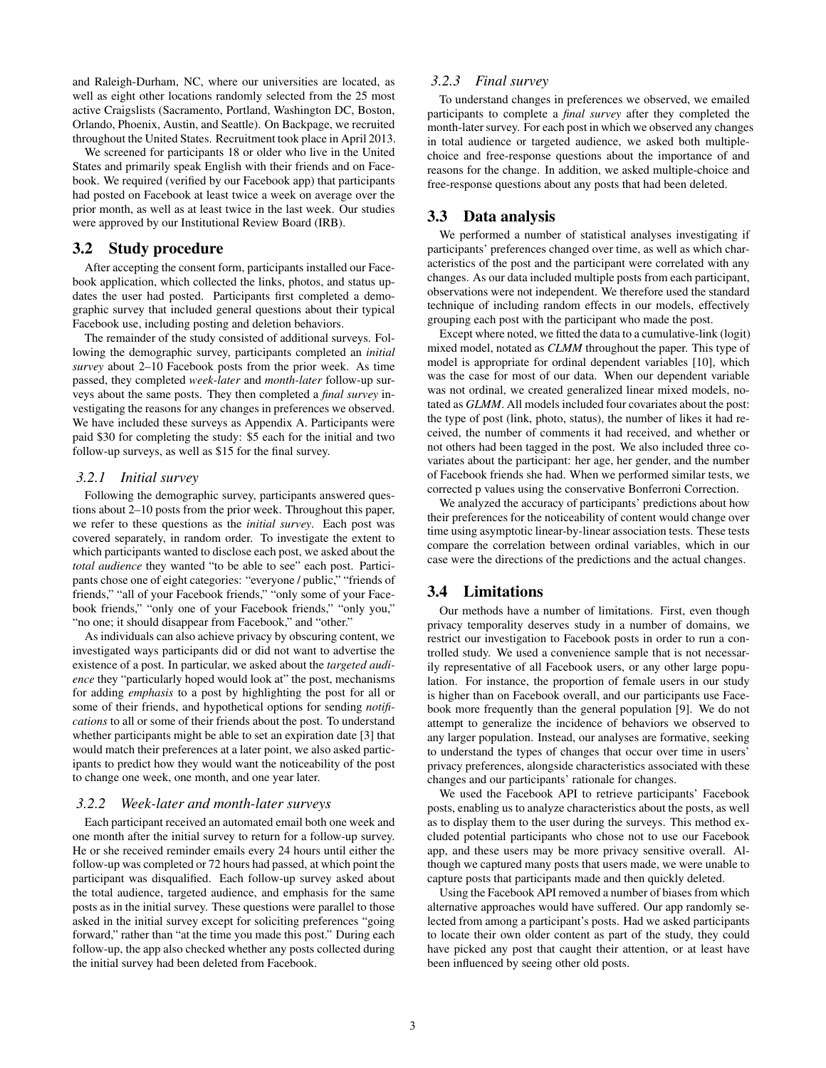and Raleigh-Durham, NC, where our universities are located, as well as eight other locations randomly selected from the 25 most active Craigslists (Sacramento, Portland, Washington DC, Boston, Orlando, Phoenix, Austin, and Seattle). On Backpage, we recruited throughout the United States. Recruitment took place in April 2013.

We screened for participants 18 or older who live in the United States and primarily speak English with their friends and on Facebook. We required (verified by our Facebook app) that participants had posted on Facebook at least twice a week on average over the prior month, as well as at least twice in the last week. Our studies were approved by our Institutional Review Board (IRB).

### 3.2 Study procedure

After accepting the consent form, participants installed our Facebook application, which collected the links, photos, and status updates the user had posted. Participants first completed a demographic survey that included general questions about their typical Facebook use, including posting and deletion behaviors.

The remainder of the study consisted of additional surveys. Following the demographic survey, participants completed an *initial survey* about 2–10 Facebook posts from the prior week. As time passed, they completed *week-later* and *month-later* follow-up surveys about the same posts. They then completed a *final survey* investigating the reasons for any changes in preferences we observed. We have included these surveys as Appendix [A.](#page-10-0) Participants were paid \$30 for completing the study: \$5 each for the initial and two follow-up surveys, as well as \$15 for the final survey.

#### *3.2.1 Initial survey*

Following the demographic survey, participants answered questions about 2–10 posts from the prior week. Throughout this paper, we refer to these questions as the *initial survey*. Each post was covered separately, in random order. To investigate the extent to which participants wanted to disclose each post, we asked about the *total audience* they wanted "to be able to see" each post. Participants chose one of eight categories: "everyone / public," "friends of friends," "all of your Facebook friends," "only some of your Facebook friends," "only one of your Facebook friends," "only you," "no one; it should disappear from Facebook," and "other."

As individuals can also achieve privacy by obscuring content, we investigated ways participants did or did not want to advertise the existence of a post. In particular, we asked about the *targeted audience* they "particularly hoped would look at" the post, mechanisms for adding *emphasis* to a post by highlighting the post for all or some of their friends, and hypothetical options for sending *notifications* to all or some of their friends about the post. To understand whether participants might be able to set an expiration date [\[3\]](#page-9-5) that would match their preferences at a later point, we also asked participants to predict how they would want the noticeability of the post to change one week, one month, and one year later.

#### *3.2.2 Week-later and month-later surveys*

Each participant received an automated email both one week and one month after the initial survey to return for a follow-up survey. He or she received reminder emails every 24 hours until either the follow-up was completed or 72 hours had passed, at which point the participant was disqualified. Each follow-up survey asked about the total audience, targeted audience, and emphasis for the same posts as in the initial survey. These questions were parallel to those asked in the initial survey except for soliciting preferences "going forward," rather than "at the time you made this post." During each follow-up, the app also checked whether any posts collected during the initial survey had been deleted from Facebook.

### *3.2.3 Final survey*

To understand changes in preferences we observed, we emailed participants to complete a *final survey* after they completed the month-later survey. For each post in which we observed any changes in total audience or targeted audience, we asked both multiplechoice and free-response questions about the importance of and reasons for the change. In addition, we asked multiple-choice and free-response questions about any posts that had been deleted.

### <span id="page-2-0"></span>3.3 Data analysis

We performed a number of statistical analyses investigating if participants' preferences changed over time, as well as which characteristics of the post and the participant were correlated with any changes. As our data included multiple posts from each participant, observations were not independent. We therefore used the standard technique of including random effects in our models, effectively grouping each post with the participant who made the post.

Except where noted, we fitted the data to a cumulative-link (logit) mixed model, notated as *CLMM* throughout the paper. This type of model is appropriate for ordinal dependent variables [\[10\]](#page-9-21), which was the case for most of our data. When our dependent variable was not ordinal, we created generalized linear mixed models, notated as *GLMM*. All models included four covariates about the post: the type of post (link, photo, status), the number of likes it had received, the number of comments it had received, and whether or not others had been tagged in the post. We also included three covariates about the participant: her age, her gender, and the number of Facebook friends she had. When we performed similar tests, we corrected p values using the conservative Bonferroni Correction.

We analyzed the accuracy of participants' predictions about how their preferences for the noticeability of content would change over time using asymptotic linear-by-linear association tests. These tests compare the correlation between ordinal variables, which in our case were the directions of the predictions and the actual changes.

### 3.4 Limitations

Our methods have a number of limitations. First, even though privacy temporality deserves study in a number of domains, we restrict our investigation to Facebook posts in order to run a controlled study. We used a convenience sample that is not necessarily representative of all Facebook users, or any other large population. For instance, the proportion of female users in our study is higher than on Facebook overall, and our participants use Facebook more frequently than the general population [\[9\]](#page-9-22). We do not attempt to generalize the incidence of behaviors we observed to any larger population. Instead, our analyses are formative, seeking to understand the types of changes that occur over time in users' privacy preferences, alongside characteristics associated with these changes and our participants' rationale for changes.

We used the Facebook API to retrieve participants' Facebook posts, enabling us to analyze characteristics about the posts, as well as to display them to the user during the surveys. This method excluded potential participants who chose not to use our Facebook app, and these users may be more privacy sensitive overall. Although we captured many posts that users made, we were unable to capture posts that participants made and then quickly deleted.

Using the Facebook API removed a number of biases from which alternative approaches would have suffered. Our app randomly selected from among a participant's posts. Had we asked participants to locate their own older content as part of the study, they could have picked any post that caught their attention, or at least have been influenced by seeing other old posts.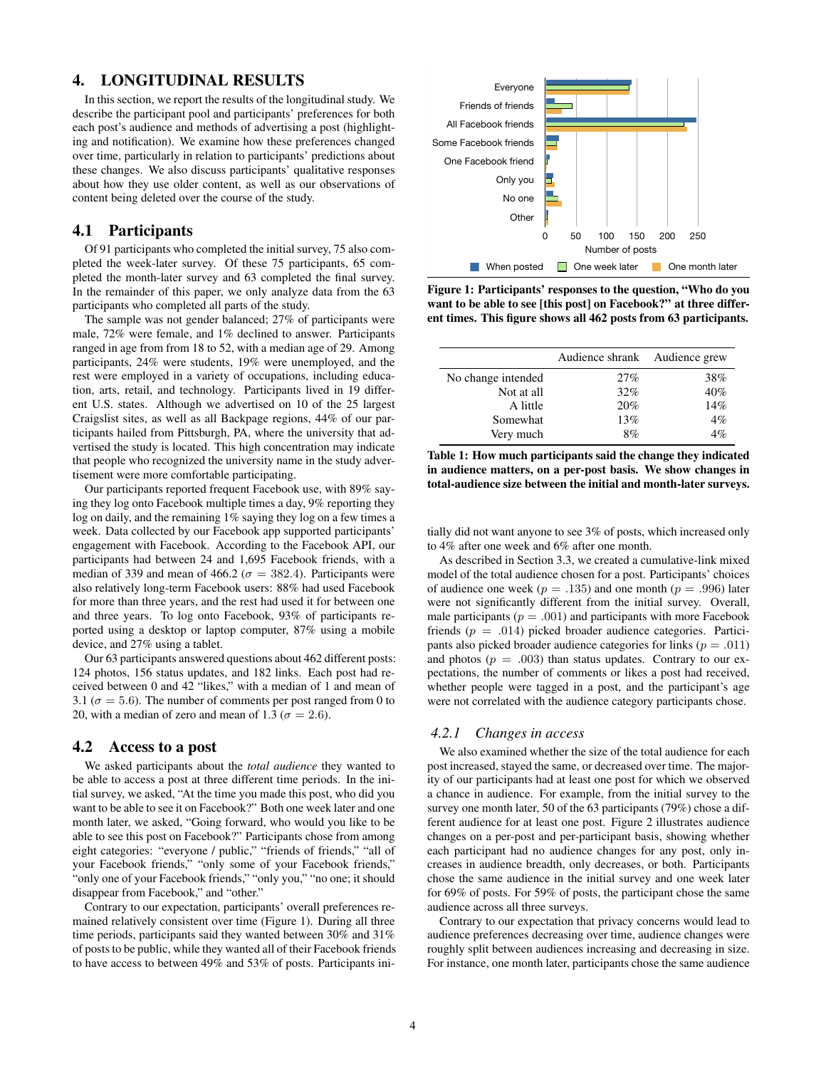# 4. LONGITUDINAL RESULTS

In this section, we report the results of the longitudinal study. We describe the participant pool and participants' preferences for both each post's audience and methods of advertising a post (highlighting and notification). We examine how these preferences changed over time, particularly in relation to participants' predictions about these changes. We also discuss participants' qualitative responses about how they use older content, as well as our observations of content being deleted over the course of the study.

## 4.1 Participants

Of 91 participants who completed the initial survey, 75 also completed the week-later survey. Of these 75 participants, 65 completed the month-later survey and 63 completed the final survey. In the remainder of this paper, we only analyze data from the 63 participants who completed all parts of the study.

The sample was not gender balanced; 27% of participants were male, 72% were female, and 1% declined to answer. Participants ranged in age from from 18 to 52, with a median age of 29. Among participants, 24% were students, 19% were unemployed, and the rest were employed in a variety of occupations, including education, arts, retail, and technology. Participants lived in 19 different U.S. states. Although we advertised on 10 of the 25 largest Craigslist sites, as well as all Backpage regions, 44% of our participants hailed from Pittsburgh, PA, where the university that advertised the study is located. This high concentration may indicate that people who recognized the university name in the study advertisement were more comfortable participating.

Our participants reported frequent Facebook use, with 89% saying they log onto Facebook multiple times a day, 9% reporting they log on daily, and the remaining 1% saying they log on a few times a week. Data collected by our Facebook app supported participants' engagement with Facebook. According to the Facebook API, our participants had between 24 and 1,695 Facebook friends, with a median of 339 and mean of 466.2 ( $\sigma = 382.4$ ). Participants were also relatively long-term Facebook users: 88% had used Facebook for more than three years, and the rest had used it for between one and three years. To log onto Facebook, 93% of participants reported using a desktop or laptop computer, 87% using a mobile device, and 27% using a tablet.

Our 63 participants answered questions about 462 different posts: 124 photos, 156 status updates, and 182 links. Each post had received between 0 and 42 "likes," with a median of 1 and mean of 3.1 ( $\sigma = 5.6$ ). The number of comments per post ranged from 0 to 20, with a median of zero and mean of 1.3 ( $\sigma = 2.6$ ).

### <span id="page-3-2"></span>4.2 Access to a post

We asked participants about the *total audience* they wanted to be able to access a post at three different time periods. In the initial survey, we asked, "At the time you made this post, who did you want to be able to see it on Facebook?" Both one week later and one month later, we asked, "Going forward, who would you like to be able to see this post on Facebook?" Participants chose from among eight categories: "everyone / public," "friends of friends," "all of your Facebook friends," "only some of your Facebook friends," "only one of your Facebook friends," "only you," "no one; it should disappear from Facebook," and "other."

Contrary to our expectation, participants' overall preferences remained relatively consistent over time (Figure [1\)](#page-3-0). During all three time periods, participants said they wanted between 30% and 31% of posts to be public, while they wanted all of their Facebook friends to have access to between 49% and 53% of posts. Participants ini-



<span id="page-3-0"></span>Figure 1: Participants' responses to the question, "Who do you want to be able to see [this post] on Facebook?" at three different times. This figure shows all 462 posts from 63 participants.

|                    | Audience shrank Audience grew |       |
|--------------------|-------------------------------|-------|
| No change intended | 27%                           | 38%   |
| Not at all         | 32%                           | 40%   |
| A little           | 20%                           | 14%   |
| Somewhat           | 13%                           | $4\%$ |
| Very much          | 8%                            | 4%    |

<span id="page-3-1"></span>Table 1: How much participants said the change they indicated in audience matters, on a per-post basis. We show changes in total-audience size between the initial and month-later surveys.

tially did not want anyone to see 3% of posts, which increased only to 4% after one week and 6% after one month.

As described in Section [3.3,](#page-2-0) we created a cumulative-link mixed model of the total audience chosen for a post. Participants' choices of audience one week ( $p = .135$ ) and one month ( $p = .996$ ) later were not significantly different from the initial survey. Overall, male participants ( $p = .001$ ) and participants with more Facebook friends ( $p = .014$ ) picked broader audience categories. Participants also picked broader audience categories for links ( $p = .011$ ) and photos ( $p = .003$ ) than status updates. Contrary to our expectations, the number of comments or likes a post had received, whether people were tagged in a post, and the participant's age were not correlated with the audience category participants chose.

### *4.2.1 Changes in access*

We also examined whether the size of the total audience for each post increased, stayed the same, or decreased over time. The majority of our participants had at least one post for which we observed a chance in audience. For example, from the initial survey to the survey one month later, 50 of the 63 participants (79%) chose a different audience for at least one post. Figure [2](#page-4-0) illustrates audience changes on a per-post and per-participant basis, showing whether each participant had no audience changes for any post, only increases in audience breadth, only decreases, or both. Participants chose the same audience in the initial survey and one week later for 69% of posts. For 59% of posts, the participant chose the same audience across all three surveys.

Contrary to our expectation that privacy concerns would lead to audience preferences decreasing over time, audience changes were roughly split between audiences increasing and decreasing in size. For instance, one month later, participants chose the same audience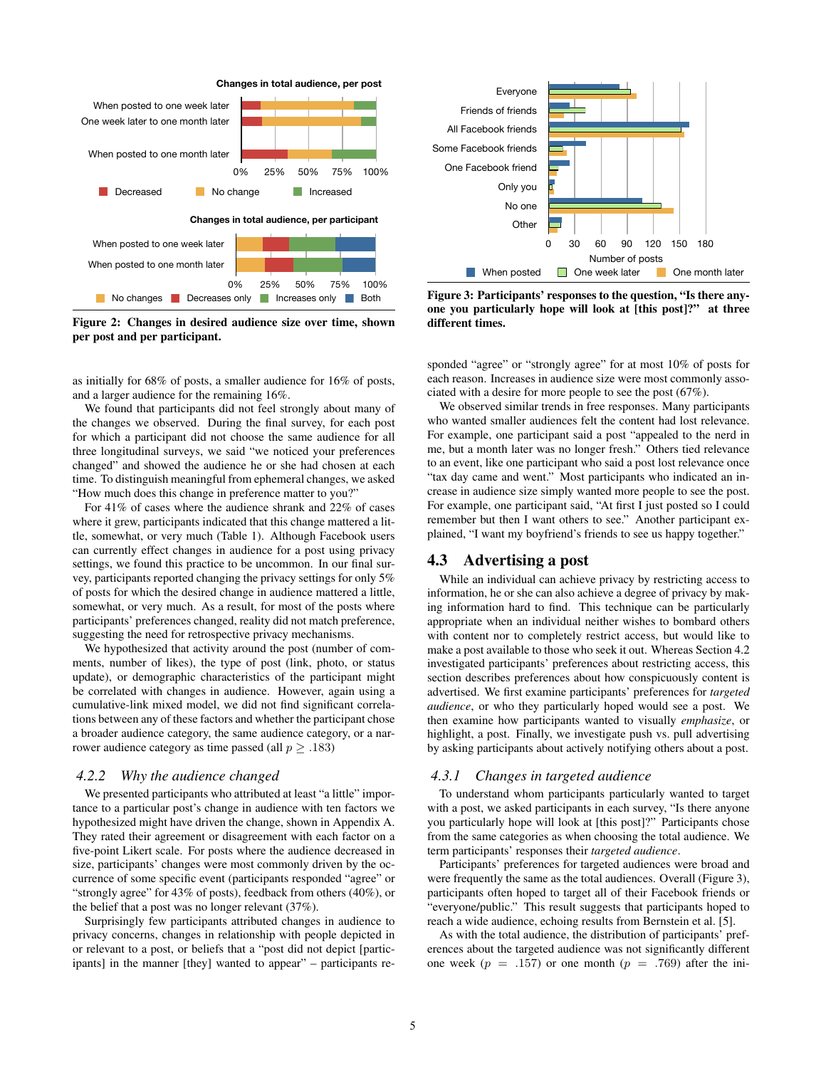

<span id="page-4-0"></span>Figure 2: Changes in desired audience size over time, shown per post and per participant.

as initially for 68% of posts, a smaller audience for 16% of posts, and a larger audience for the remaining 16%.

We found that participants did not feel strongly about many of the changes we observed. During the final survey, for each post for which a participant did not choose the same audience for all three longitudinal surveys, we said "we noticed your preferences changed" and showed the audience he or she had chosen at each time. To distinguish meaningful from ephemeral changes, we asked "How much does this change in preference matter to you?"

For 41% of cases where the audience shrank and 22% of cases where it grew, participants indicated that this change mattered a little, somewhat, or very much (Table [1\)](#page-3-1). Although Facebook users can currently effect changes in audience for a post using privacy settings, we found this practice to be uncommon. In our final survey, participants reported changing the privacy settings for only 5% of posts for which the desired change in audience mattered a little, somewhat, or very much. As a result, for most of the posts where participants' preferences changed, reality did not match preference, suggesting the need for retrospective privacy mechanisms.

We hypothesized that activity around the post (number of comments, number of likes), the type of post (link, photo, or status update), or demographic characteristics of the participant might be correlated with changes in audience. However, again using a cumulative-link mixed model, we did not find significant correlations between any of these factors and whether the participant chose a broader audience category, the same audience category, or a narrower audience category as time passed (all  $p > .183$ )

### *4.2.2 Why the audience changed*

We presented participants who attributed at least "a little" importance to a particular post's change in audience with ten factors we hypothesized might have driven the change, shown in Appendix [A.](#page-10-0) They rated their agreement or disagreement with each factor on a five-point Likert scale. For posts where the audience decreased in size, participants' changes were most commonly driven by the occurrence of some specific event (participants responded "agree" or "strongly agree" for 43% of posts), feedback from others (40%), or the belief that a post was no longer relevant (37%).

Surprisingly few participants attributed changes in audience to privacy concerns, changes in relationship with people depicted in or relevant to a post, or beliefs that a "post did not depict [participants] in the manner [they] wanted to appear" – participants re-

<span id="page-4-1"></span>Figure 3: Participants' responses to the question, "Is there anyone you particularly hope will look at [this post]?" at three different times.

sponded "agree" or "strongly agree" for at most 10% of posts for each reason. Increases in audience size were most commonly associated with a desire for more people to see the post (67%).

We observed similar trends in free responses. Many participants who wanted smaller audiences felt the content had lost relevance. For example, one participant said a post "appealed to the nerd in me, but a month later was no longer fresh." Others tied relevance to an event, like one participant who said a post lost relevance once "tax day came and went." Most participants who indicated an increase in audience size simply wanted more people to see the post. For example, one participant said, "At first I just posted so I could remember but then I want others to see." Another participant explained, "I want my boyfriend's friends to see us happy together."

### 4.3 Advertising a post

While an individual can achieve privacy by restricting access to information, he or she can also achieve a degree of privacy by making information hard to find. This technique can be particularly appropriate when an individual neither wishes to bombard others with content nor to completely restrict access, but would like to make a post available to those who seek it out. Whereas Section [4.2](#page-3-2) investigated participants' preferences about restricting access, this section describes preferences about how conspicuously content is advertised. We first examine participants' preferences for *targeted audience*, or who they particularly hoped would see a post. We then examine how participants wanted to visually *emphasize*, or highlight, a post. Finally, we investigate push vs. pull advertising by asking participants about actively notifying others about a post.

#### *4.3.1 Changes in targeted audience*

To understand whom participants particularly wanted to target with a post, we asked participants in each survey, "Is there anyone you particularly hope will look at [this post]?" Participants chose from the same categories as when choosing the total audience. We term participants' responses their *targeted audience*.

Participants' preferences for targeted audiences were broad and were frequently the same as the total audiences. Overall (Figure [3\)](#page-4-1), participants often hoped to target all of their Facebook friends or "everyone/public." This result suggests that participants hoped to reach a wide audience, echoing results from Bernstein et al. [\[5\]](#page-9-2).

As with the total audience, the distribution of participants' preferences about the targeted audience was not significantly different one week ( $p = .157$ ) or one month ( $p = .769$ ) after the ini-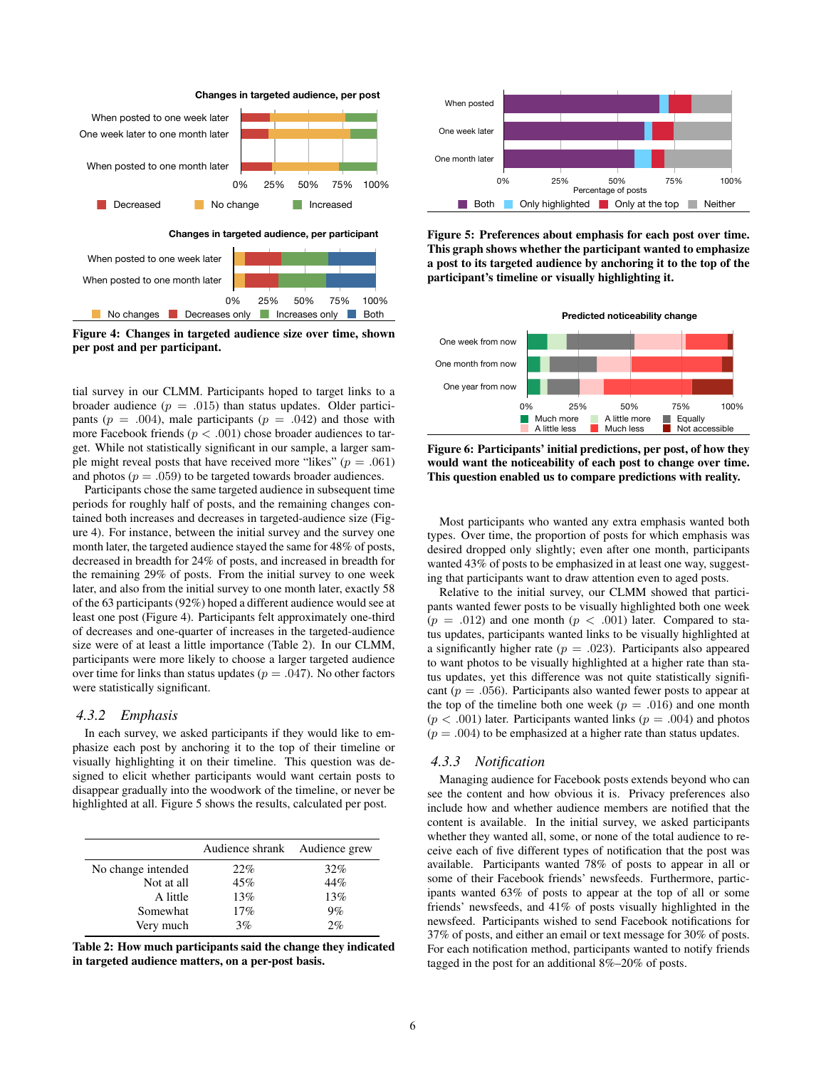

<span id="page-5-0"></span>Figure 4: Changes in targeted audience size over time, shown per post and per participant.

tial survey in our CLMM. Participants hoped to target links to a broader audience ( $p = .015$ ) than status updates. Older participants ( $p = .004$ ), male participants ( $p = .042$ ) and those with more Facebook friends ( $p < .001$ ) chose broader audiences to target. While not statistically significant in our sample, a larger sample might reveal posts that have received more "likes" ( $p = .061$ ) and photos ( $p = .059$ ) to be targeted towards broader audiences.

Participants chose the same targeted audience in subsequent time periods for roughly half of posts, and the remaining changes contained both increases and decreases in targeted-audience size (Figure [4\)](#page-5-0). For instance, between the initial survey and the survey one month later, the targeted audience stayed the same for 48% of posts, decreased in breadth for 24% of posts, and increased in breadth for the remaining 29% of posts. From the initial survey to one week later, and also from the initial survey to one month later, exactly 58 of the 63 participants (92%) hoped a different audience would see at least one post (Figure [4\)](#page-5-0). Participants felt approximately one-third of decreases and one-quarter of increases in the targeted-audience size were of at least a little importance (Table [2\)](#page-5-1). In our CLMM, participants were more likely to choose a larger targeted audience over time for links than status updates ( $p = .047$ ). No other factors were statistically significant.

### *4.3.2 Emphasis*

In each survey, we asked participants if they would like to emphasize each post by anchoring it to the top of their timeline or visually highlighting it on their timeline. This question was designed to elicit whether participants would want certain posts to disappear gradually into the woodwork of the timeline, or never be highlighted at all. Figure [5](#page-5-2) shows the results, calculated per post.

|                    | Audience shrank Audience grew |        |
|--------------------|-------------------------------|--------|
| No change intended | 22%                           | $32\%$ |
| Not at all         | 45%                           | 44%    |
| A little           | 13%                           | 13%    |
| Somewhat           | 17%                           | 9%     |
| Very much          | 3%                            | 2%     |

<span id="page-5-1"></span>Table 2: How much participants said the change they indicated in targeted audience matters, on a per-post basis.



<span id="page-5-2"></span>Figure 5: Preferences about emphasis for each post over time. This graph shows whether the participant wanted to emphasize a post to its targeted audience by anchoring it to the top of the participant's timeline or visually highlighting it.



<span id="page-5-3"></span>Figure 6: Participants' initial predictions, per post, of how they would want the noticeability of each post to change over time. This question enabled us to compare predictions with reality.

Most participants who wanted any extra emphasis wanted both types. Over time, the proportion of posts for which emphasis was desired dropped only slightly; even after one month, participants wanted 43% of posts to be emphasized in at least one way, suggesting that participants want to draw attention even to aged posts.

Relative to the initial survey, our CLMM showed that participants wanted fewer posts to be visually highlighted both one week  $(p = .012)$  and one month  $(p < .001)$  later. Compared to status updates, participants wanted links to be visually highlighted at a significantly higher rate ( $p = .023$ ). Participants also appeared to want photos to be visually highlighted at a higher rate than status updates, yet this difference was not quite statistically significant ( $p = .056$ ). Participants also wanted fewer posts to appear at the top of the timeline both one week ( $p = .016$ ) and one month  $(p < .001)$  later. Participants wanted links  $(p = .004)$  and photos  $(p = .004)$  to be emphasized at a higher rate than status updates.

### *4.3.3 Notification*

Managing audience for Facebook posts extends beyond who can see the content and how obvious it is. Privacy preferences also include how and whether audience members are notified that the content is available. In the initial survey, we asked participants whether they wanted all, some, or none of the total audience to receive each of five different types of notification that the post was available. Participants wanted 78% of posts to appear in all or some of their Facebook friends' newsfeeds. Furthermore, participants wanted 63% of posts to appear at the top of all or some friends' newsfeeds, and 41% of posts visually highlighted in the newsfeed. Participants wished to send Facebook notifications for 37% of posts, and either an email or text message for 30% of posts. For each notification method, participants wanted to notify friends tagged in the post for an additional 8%–20% of posts.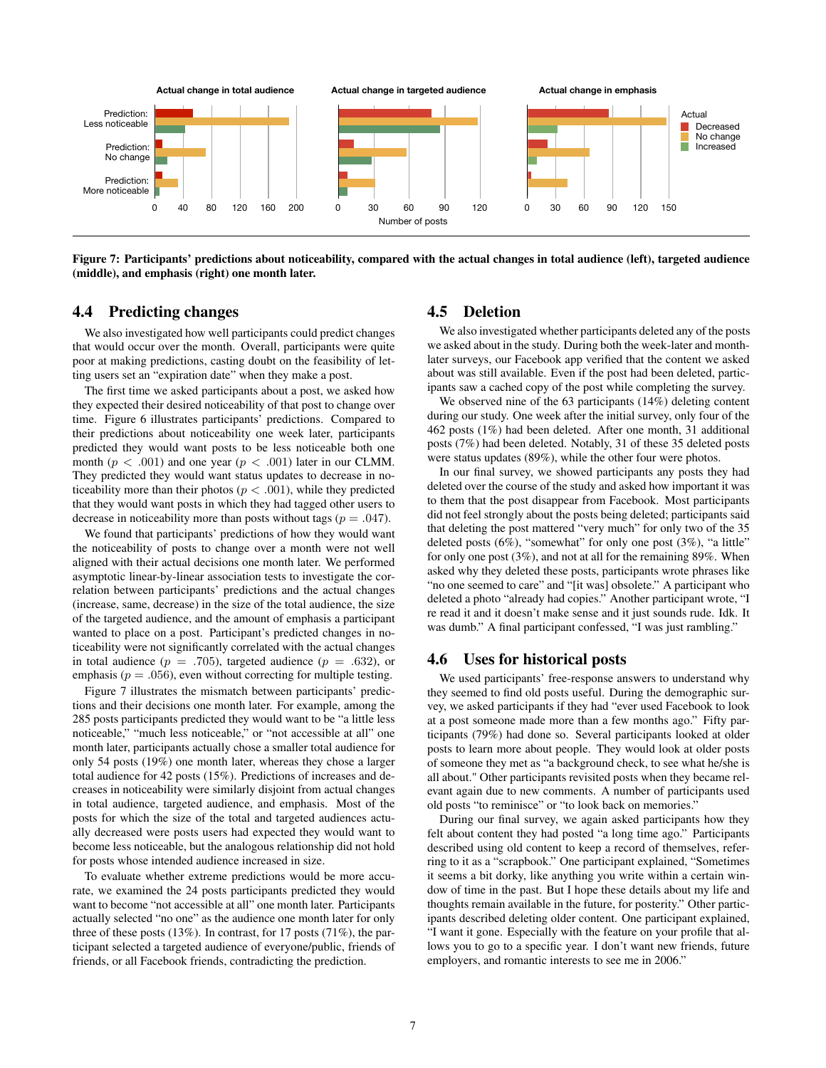

<span id="page-6-0"></span>Figure 7: Participants' predictions about noticeability, compared with the actual changes in total audience (left), targeted audience (middle), and emphasis (right) one month later.

### 4.4 Predicting changes

We also investigated how well participants could predict changes that would occur over the month. Overall, participants were quite poor at making predictions, casting doubt on the feasibility of letting users set an "expiration date" when they make a post.

The first time we asked participants about a post, we asked how they expected their desired noticeability of that post to change over time. Figure [6](#page-5-3) illustrates participants' predictions. Compared to their predictions about noticeability one week later, participants predicted they would want posts to be less noticeable both one month ( $p < .001$ ) and one year ( $p < .001$ ) later in our CLMM. They predicted they would want status updates to decrease in noticeability more than their photos ( $p < .001$ ), while they predicted that they would want posts in which they had tagged other users to decrease in noticeability more than posts without tags ( $p = .047$ ).

We found that participants' predictions of how they would want the noticeability of posts to change over a month were not well aligned with their actual decisions one month later. We performed asymptotic linear-by-linear association tests to investigate the correlation between participants' predictions and the actual changes (increase, same, decrease) in the size of the total audience, the size of the targeted audience, and the amount of emphasis a participant wanted to place on a post. Participant's predicted changes in noticeability were not significantly correlated with the actual changes in total audience ( $p = .705$ ), targeted audience ( $p = .632$ ), or emphasis ( $p = .056$ ), even without correcting for multiple testing.

Figure [7](#page-6-0) illustrates the mismatch between participants' predictions and their decisions one month later. For example, among the 285 posts participants predicted they would want to be "a little less noticeable," "much less noticeable," or "not accessible at all" one month later, participants actually chose a smaller total audience for only 54 posts (19%) one month later, whereas they chose a larger total audience for 42 posts (15%). Predictions of increases and decreases in noticeability were similarly disjoint from actual changes in total audience, targeted audience, and emphasis. Most of the posts for which the size of the total and targeted audiences actually decreased were posts users had expected they would want to become less noticeable, but the analogous relationship did not hold for posts whose intended audience increased in size.

To evaluate whether extreme predictions would be more accurate, we examined the 24 posts participants predicted they would want to become "not accessible at all" one month later. Participants actually selected "no one" as the audience one month later for only three of these posts  $(13\%)$ . In contrast, for 17 posts  $(71\%)$ , the participant selected a targeted audience of everyone/public, friends of friends, or all Facebook friends, contradicting the prediction.

# 4.5 Deletion

We also investigated whether participants deleted any of the posts we asked about in the study. During both the week-later and monthlater surveys, our Facebook app verified that the content we asked about was still available. Even if the post had been deleted, participants saw a cached copy of the post while completing the survey.

We observed nine of the 63 participants (14%) deleting content during our study. One week after the initial survey, only four of the 462 posts (1%) had been deleted. After one month, 31 additional posts (7%) had been deleted. Notably, 31 of these 35 deleted posts were status updates (89%), while the other four were photos.

In our final survey, we showed participants any posts they had deleted over the course of the study and asked how important it was to them that the post disappear from Facebook. Most participants did not feel strongly about the posts being deleted; participants said that deleting the post mattered "very much" for only two of the 35 deleted posts  $(6\%)$ , "somewhat" for only one post  $(3\%)$ , "a little" for only one post (3%), and not at all for the remaining 89%. When asked why they deleted these posts, participants wrote phrases like "no one seemed to care" and "[it was] obsolete." A participant who deleted a photo "already had copies." Another participant wrote, "I re read it and it doesn't make sense and it just sounds rude. Idk. It was dumb." A final participant confessed, "I was just rambling."

### 4.6 Uses for historical posts

We used participants' free-response answers to understand why they seemed to find old posts useful. During the demographic survey, we asked participants if they had "ever used Facebook to look at a post someone made more than a few months ago." Fifty participants (79%) had done so. Several participants looked at older posts to learn more about people. They would look at older posts of someone they met as "a background check, to see what he/she is all about." Other participants revisited posts when they became relevant again due to new comments. A number of participants used old posts "to reminisce" or "to look back on memories."

During our final survey, we again asked participants how they felt about content they had posted "a long time ago." Participants described using old content to keep a record of themselves, referring to it as a "scrapbook." One participant explained, "Sometimes it seems a bit dorky, like anything you write within a certain window of time in the past. But I hope these details about my life and thoughts remain available in the future, for posterity." Other participants described deleting older content. One participant explained, "I want it gone. Especially with the feature on your profile that allows you to go to a specific year. I don't want new friends, future employers, and romantic interests to see me in 2006."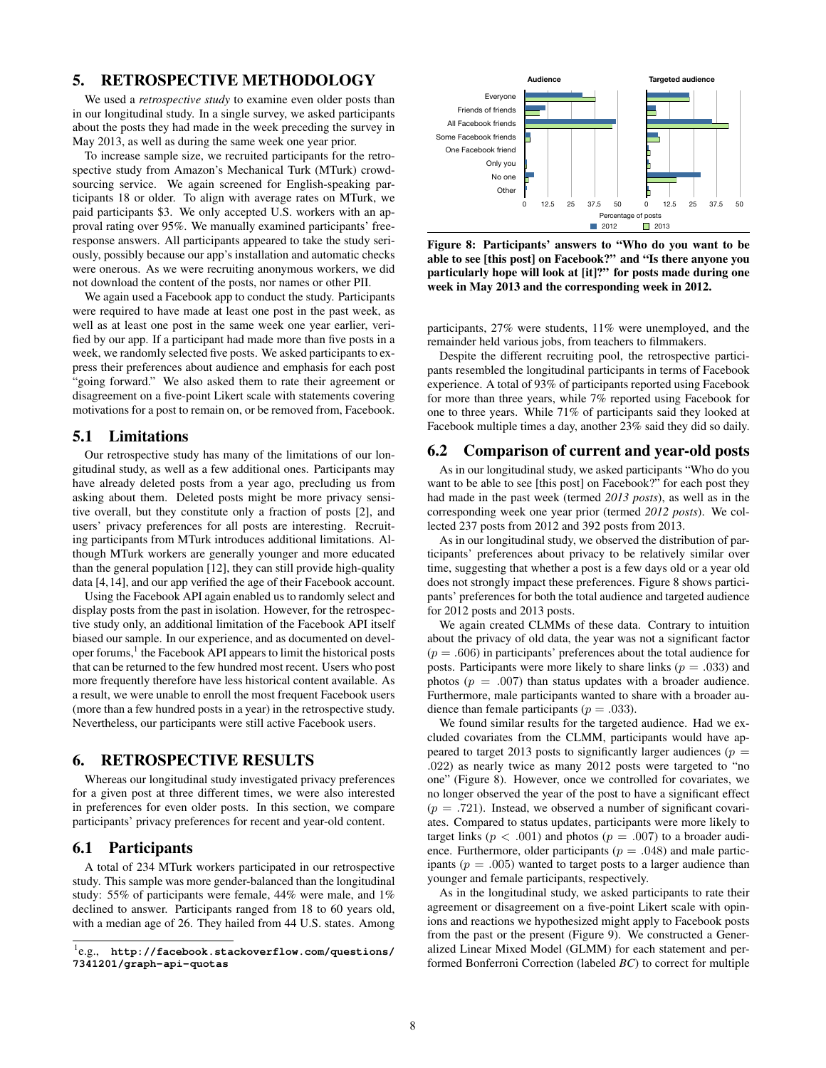## 5. RETROSPECTIVE METHODOLOGY

We used a *retrospective study* to examine even older posts than in our longitudinal study. In a single survey, we asked participants about the posts they had made in the week preceding the survey in May 2013, as well as during the same week one year prior.

To increase sample size, we recruited participants for the retrospective study from Amazon's Mechanical Turk (MTurk) crowdsourcing service. We again screened for English-speaking participants 18 or older. To align with average rates on MTurk, we paid participants \$3. We only accepted U.S. workers with an approval rating over 95%. We manually examined participants' freeresponse answers. All participants appeared to take the study seriously, possibly because our app's installation and automatic checks were onerous. As we were recruiting anonymous workers, we did not download the content of the posts, nor names or other PII.

We again used a Facebook app to conduct the study. Participants were required to have made at least one post in the past week, as well as at least one post in the same week one year earlier, verified by our app. If a participant had made more than five posts in a week, we randomly selected five posts. We asked participants to express their preferences about audience and emphasis for each post "going forward." We also asked them to rate their agreement or disagreement on a five-point Likert scale with statements covering motivations for a post to remain on, or be removed from, Facebook.

# 5.1 Limitations

Our retrospective study has many of the limitations of our longitudinal study, as well as a few additional ones. Participants may have already deleted posts from a year ago, precluding us from asking about them. Deleted posts might be more privacy sensitive overall, but they constitute only a fraction of posts [\[2\]](#page-9-17), and users' privacy preferences for all posts are interesting. Recruiting participants from MTurk introduces additional limitations. Although MTurk workers are generally younger and more educated than the general population [\[12\]](#page-9-23), they can still provide high-quality data [\[4,](#page-9-24)[14\]](#page-9-25), and our app verified the age of their Facebook account.

Using the Facebook API again enabled us to randomly select and display posts from the past in isolation. However, for the retrospective study only, an additional limitation of the Facebook API itself biased our sample. In our experience, and as documented on developer forums,<sup>1</sup> the Facebook API appears to limit the historical posts that can be returned to the few hundred most recent. Users who post more frequently therefore have less historical content available. As a result, we were unable to enroll the most frequent Facebook users (more than a few hundred posts in a year) in the retrospective study. Nevertheless, our participants were still active Facebook users.

# 6. RETROSPECTIVE RESULTS

Whereas our longitudinal study investigated privacy preferences for a given post at three different times, we were also interested in preferences for even older posts. In this section, we compare participants' privacy preferences for recent and year-old content.

## 6.1 Participants

A total of 234 MTurk workers participated in our retrospective study. This sample was more gender-balanced than the longitudinal study: 55% of participants were female, 44% were male, and 1% declined to answer. Participants ranged from 18 to 60 years old, with a median age of 26. They hailed from 44 U.S. states. Among



<span id="page-7-0"></span>Figure 8: Participants' answers to "Who do you want to be able to see [this post] on Facebook?" and "Is there anyone you particularly hope will look at [it]?" for posts made during one week in May 2013 and the corresponding week in 2012.

participants, 27% were students, 11% were unemployed, and the remainder held various jobs, from teachers to filmmakers.

Despite the different recruiting pool, the retrospective participants resembled the longitudinal participants in terms of Facebook experience. A total of 93% of participants reported using Facebook for more than three years, while 7% reported using Facebook for one to three years. While 71% of participants said they looked at Facebook multiple times a day, another 23% said they did so daily.

### 6.2 Comparison of current and year-old posts

As in our longitudinal study, we asked participants "Who do you want to be able to see [this post] on Facebook?" for each post they had made in the past week (termed *2013 posts*), as well as in the corresponding week one year prior (termed *2012 posts*). We collected 237 posts from 2012 and 392 posts from 2013.

As in our longitudinal study, we observed the distribution of participants' preferences about privacy to be relatively similar over time, suggesting that whether a post is a few days old or a year old does not strongly impact these preferences. Figure [8](#page-7-0) shows participants' preferences for both the total audience and targeted audience for 2012 posts and 2013 posts.

We again created CLMMs of these data. Contrary to intuition about the privacy of old data, the year was not a significant factor  $(p = .606)$  in participants' preferences about the total audience for posts. Participants were more likely to share links ( $p = .033$ ) and photos ( $p = .007$ ) than status updates with a broader audience. Furthermore, male participants wanted to share with a broader audience than female participants ( $p = .033$ ).

We found similar results for the targeted audience. Had we excluded covariates from the CLMM, participants would have appeared to target 2013 posts to significantly larger audiences ( $p =$ .022) as nearly twice as many 2012 posts were targeted to "no one" (Figure [8\)](#page-7-0). However, once we controlled for covariates, we no longer observed the year of the post to have a significant effect  $(p = .721)$ . Instead, we observed a number of significant covariates. Compared to status updates, participants were more likely to target links ( $p < .001$ ) and photos ( $p = .007$ ) to a broader audience. Furthermore, older participants ( $p = .048$ ) and male participants ( $p = .005$ ) wanted to target posts to a larger audience than younger and female participants, respectively.

As in the longitudinal study, we asked participants to rate their agreement or disagreement on a five-point Likert scale with opinions and reactions we hypothesized might apply to Facebook posts from the past or the present (Figure [9\)](#page-8-0). We constructed a Generalized Linear Mixed Model (GLMM) for each statement and performed Bonferroni Correction (labeled *BC*) to correct for multiple

<sup>1</sup> e.g., **[http://facebook.stackoverflow.com/questions/](http://facebook.stackoverflow.com/questions/7341201/graph-api-quotas) [7341201/graph-api-quotas](http://facebook.stackoverflow.com/questions/7341201/graph-api-quotas)**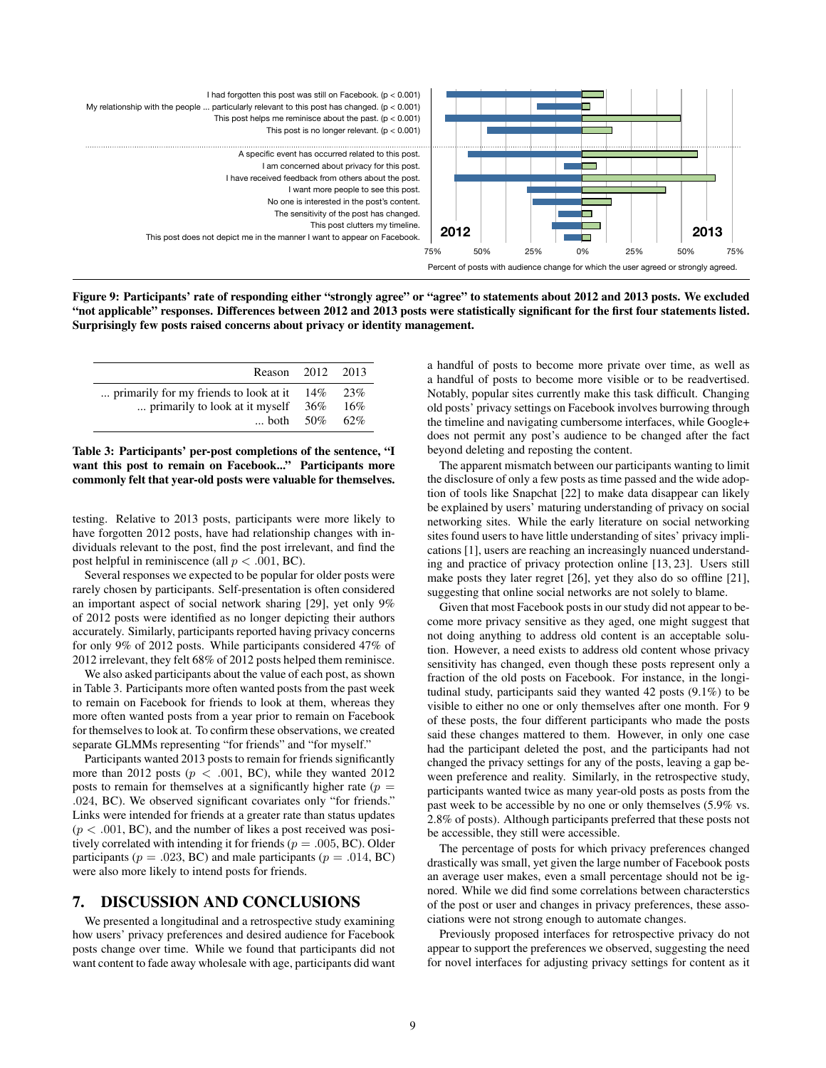

<span id="page-8-0"></span>Figure 9: Participants' rate of responding either "strongly agree" or "agree" to statements about 2012 and 2013 posts. We excluded "not applicable" responses. Differences between 2012 and 2013 posts were statistically significant for the first four statements listed. Surprisingly few posts raised concerns about privacy or identity management.

| Reason 2012 2013                        |     |     |
|-----------------------------------------|-----|-----|
| primarily for my friends to look at it. | 14% | 23% |
| primarily to look at it myself.         | 36% | 16% |
| $\ldots$ both 50%                       |     | 62% |

#### <span id="page-8-1"></span>Table 3: Participants' per-post completions of the sentence, "I want this post to remain on Facebook..." Participants more commonly felt that year-old posts were valuable for themselves.

testing. Relative to 2013 posts, participants were more likely to have forgotten 2012 posts, have had relationship changes with individuals relevant to the post, find the post irrelevant, and find the post helpful in reminiscence (all  $p < .001$ , BC).

Several responses we expected to be popular for older posts were rarely chosen by participants. Self-presentation is often considered an important aspect of social network sharing [\[29\]](#page-9-4), yet only 9% of 2012 posts were identified as no longer depicting their authors accurately. Similarly, participants reported having privacy concerns for only 9% of 2012 posts. While participants considered 47% of 2012 irrelevant, they felt 68% of 2012 posts helped them reminisce.

We also asked participants about the value of each post, as shown in Table [3.](#page-8-1) Participants more often wanted posts from the past week to remain on Facebook for friends to look at them, whereas they more often wanted posts from a year prior to remain on Facebook for themselves to look at. To confirm these observations, we created separate GLMMs representing "for friends" and "for myself."

Participants wanted 2013 posts to remain for friends significantly more than 2012 posts ( $p < .001$ , BC), while they wanted 2012 posts to remain for themselves at a significantly higher rate ( $p =$ .024, BC). We observed significant covariates only "for friends." Links were intended for friends at a greater rate than status updates  $(p < .001, BC)$ , and the number of likes a post received was positively correlated with intending it for friends ( $p = .005$ , BC). Older participants ( $p = .023$ , BC) and male participants ( $p = .014$ , BC) were also more likely to intend posts for friends.

## 7. DISCUSSION AND CONCLUSIONS

We presented a longitudinal and a retrospective study examining how users' privacy preferences and desired audience for Facebook posts change over time. While we found that participants did not want content to fade away wholesale with age, participants did want a handful of posts to become more private over time, as well as a handful of posts to become more visible or to be readvertised. Notably, popular sites currently make this task difficult. Changing old posts' privacy settings on Facebook involves burrowing through the timeline and navigating cumbersome interfaces, while Google+ does not permit any post's audience to be changed after the fact beyond deleting and reposting the content.

The apparent mismatch between our participants wanting to limit the disclosure of only a few posts as time passed and the wide adoption of tools like Snapchat [\[22\]](#page-9-20) to make data disappear can likely be explained by users' maturing understanding of privacy on social networking sites. While the early literature on social networking sites found users to have little understanding of sites' privacy implications [\[1\]](#page-9-0), users are reaching an increasingly nuanced understanding and practice of privacy protection online [\[13,](#page-9-1) [23\]](#page-9-10). Users still make posts they later regret [\[26\]](#page-9-12), yet they also do so offline [\[21\]](#page-9-11), suggesting that online social networks are not solely to blame.

Given that most Facebook posts in our study did not appear to become more privacy sensitive as they aged, one might suggest that not doing anything to address old content is an acceptable solution. However, a need exists to address old content whose privacy sensitivity has changed, even though these posts represent only a fraction of the old posts on Facebook. For instance, in the longitudinal study, participants said they wanted 42 posts (9.1%) to be visible to either no one or only themselves after one month. For 9 of these posts, the four different participants who made the posts said these changes mattered to them. However, in only one case had the participant deleted the post, and the participants had not changed the privacy settings for any of the posts, leaving a gap beween preference and reality. Similarly, in the retrospective study, participants wanted twice as many year-old posts as posts from the past week to be accessible by no one or only themselves (5.9% vs. 2.8% of posts). Although participants preferred that these posts not be accessible, they still were accessible.

The percentage of posts for which privacy preferences changed drastically was small, yet given the large number of Facebook posts an average user makes, even a small percentage should not be ignored. While we did find some correlations between characterstics of the post or user and changes in privacy preferences, these associations were not strong enough to automate changes.

Previously proposed interfaces for retrospective privacy do not appear to support the preferences we observed, suggesting the need for novel interfaces for adjusting privacy settings for content as it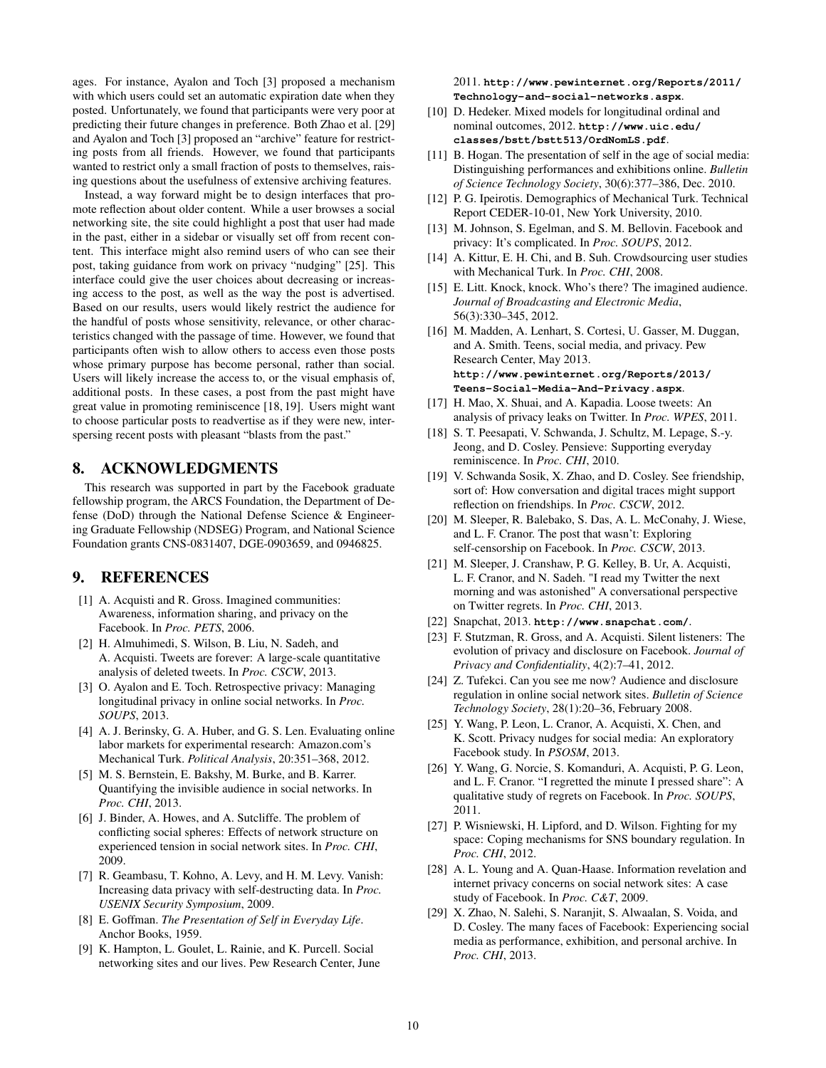ages. For instance, Ayalon and Toch [\[3\]](#page-9-5) proposed a mechanism with which users could set an automatic expiration date when they posted. Unfortunately, we found that participants were very poor at predicting their future changes in preference. Both Zhao et al. [\[29\]](#page-9-4) and Ayalon and Toch [\[3\]](#page-9-5) proposed an "archive" feature for restricting posts from all friends. However, we found that participants wanted to restrict only a small fraction of posts to themselves, raising questions about the usefulness of extensive archiving features.

Instead, a way forward might be to design interfaces that promote reflection about older content. While a user browses a social networking site, the site could highlight a post that user had made in the past, either in a sidebar or visually set off from recent content. This interface might also remind users of who can see their post, taking guidance from work on privacy "nudging" [\[25\]](#page-9-26). This interface could give the user choices about decreasing or increasing access to the post, as well as the way the post is advertised. Based on our results, users would likely restrict the audience for the handful of posts whose sensitivity, relevance, or other characteristics changed with the passage of time. However, we found that participants often wish to allow others to access even those posts whose primary purpose has become personal, rather than social. Users will likely increase the access to, or the visual emphasis of, additional posts. In these cases, a post from the past might have great value in promoting reminiscence [\[18,](#page-9-27) [19\]](#page-9-28). Users might want to choose particular posts to readvertise as if they were new, interspersing recent posts with pleasant "blasts from the past."

# 8. ACKNOWLEDGMENTS

This research was supported in part by the Facebook graduate fellowship program, the ARCS Foundation, the Department of Defense (DoD) through the National Defense Science & Engineering Graduate Fellowship (NDSEG) Program, and National Science Foundation grants CNS-0831407, DGE-0903659, and 0946825.

# 9. REFERENCES

- <span id="page-9-0"></span>[1] A. Acquisti and R. Gross. Imagined communities: Awareness, information sharing, and privacy on the Facebook. In *Proc. PETS*, 2006.
- <span id="page-9-17"></span>[2] H. Almuhimedi, S. Wilson, B. Liu, N. Sadeh, and A. Acquisti. Tweets are forever: A large-scale quantitative analysis of deleted tweets. In *Proc. CSCW*, 2013.
- <span id="page-9-5"></span>[3] O. Ayalon and E. Toch. Retrospective privacy: Managing longitudinal privacy in online social networks. In *Proc. SOUPS*, 2013.
- <span id="page-9-24"></span>[4] A. J. Berinsky, G. A. Huber, and G. S. Len. Evaluating online labor markets for experimental research: Amazon.com's Mechanical Turk. *Political Analysis*, 20:351–368, 2012.
- <span id="page-9-2"></span>[5] M. S. Bernstein, E. Bakshy, M. Burke, and B. Karrer. Quantifying the invisible audience in social networks. In *Proc. CHI*, 2013.
- <span id="page-9-8"></span>[6] J. Binder, A. Howes, and A. Sutcliffe. The problem of conflicting social spheres: Effects of network structure on experienced tension in social network sites. In *Proc. CHI*, 2009.
- <span id="page-9-19"></span>[7] R. Geambasu, T. Kohno, A. Levy, and H. M. Levy. Vanish: Increasing data privacy with self-destructing data. In *Proc. USENIX Security Symposium*, 2009.
- <span id="page-9-6"></span>[8] E. Goffman. *The Presentation of Self in Everyday Life*. Anchor Books, 1959.
- <span id="page-9-22"></span>[9] K. Hampton, L. Goulet, L. Rainie, and K. Purcell. Social networking sites and our lives. Pew Research Center, June

2011. **[http://www.pewinternet.org/Reports/2011/](http://www.pewinternet.org/Reports/2011/Technology-and-social-networks.aspx) [Technology-and-social-networks.aspx](http://www.pewinternet.org/Reports/2011/Technology-and-social-networks.aspx)**.

- <span id="page-9-21"></span>[10] D. Hedeker. Mixed models for longitudinal ordinal and nominal outcomes, 2012. **[http://www.uic.edu/](http://www.uic.edu/classes/bstt/bstt513/OrdNomLS.pdf) [classes/bstt/bstt513/OrdNomLS.pdf](http://www.uic.edu/classes/bstt/bstt513/OrdNomLS.pdf)**.
- <span id="page-9-7"></span>[11] B. Hogan. The presentation of self in the age of social media: Distinguishing performances and exhibitions online. *Bulletin of Science Technology Society*, 30(6):377–386, Dec. 2010.
- <span id="page-9-23"></span>[12] P. G. Ipeirotis. Demographics of Mechanical Turk. Technical Report CEDER-10-01, New York University, 2010.
- <span id="page-9-1"></span>[13] M. Johnson, S. Egelman, and S. M. Bellovin. Facebook and privacy: It's complicated. In *Proc. SOUPS*, 2012.
- <span id="page-9-25"></span>[14] A. Kittur, E. H. Chi, and B. Suh. Crowdsourcing user studies with Mechanical Turk. In *Proc. CHI*, 2008.
- <span id="page-9-3"></span>[15] E. Litt. Knock, knock. Who's there? The imagined audience. *Journal of Broadcasting and Electronic Media*, 56(3):330–345, 2012.
- <span id="page-9-16"></span>[16] M. Madden, A. Lenhart, S. Cortesi, U. Gasser, M. Duggan, and A. Smith. Teens, social media, and privacy. Pew Research Center, May 2013. **[http://www.pewinternet.org/Reports/2013/](http://www.pewinternet.org/Reports/2013/Teens-Social-Media-And-Privacy.aspx) [Teens-Social-Media-And-Privacy.aspx](http://www.pewinternet.org/Reports/2013/Teens-Social-Media-And-Privacy.aspx)**.
- <span id="page-9-13"></span>[17] H. Mao, X. Shuai, and A. Kapadia. Loose tweets: An analysis of privacy leaks on Twitter. In *Proc. WPES*, 2011.
- <span id="page-9-27"></span>[18] S. T. Peesapati, V. Schwanda, J. Schultz, M. Lepage, S.-y. Jeong, and D. Cosley. Pensieve: Supporting everyday reminiscence. In *Proc. CHI*, 2010.
- <span id="page-9-28"></span>[19] V. Schwanda Sosik, X. Zhao, and D. Cosley. See friendship, sort of: How conversation and digital traces might support reflection on friendships. In *Proc. CSCW*, 2012.
- <span id="page-9-15"></span>[20] M. Sleeper, R. Balebako, S. Das, A. L. McConahy, J. Wiese, and L. F. Cranor. The post that wasn't: Exploring self-censorship on Facebook. In *Proc. CSCW*, 2013.
- <span id="page-9-11"></span>[21] M. Sleeper, J. Cranshaw, P. G. Kelley, B. Ur, A. Acquisti, L. F. Cranor, and N. Sadeh. "I read my Twitter the next morning and was astonished" A conversational perspective on Twitter regrets. In *Proc. CHI*, 2013.
- <span id="page-9-20"></span>[22] Snapchat, 2013. **<http://www.snapchat.com/>**.
- <span id="page-9-10"></span>[23] F. Stutzman, R. Gross, and A. Acquisti. Silent listeners: The evolution of privacy and disclosure on Facebook. *Journal of Privacy and Confidentiality*, 4(2):7–41, 2012.
- <span id="page-9-9"></span>[24] Z. Tufekci. Can you see me now? Audience and disclosure regulation in online social network sites. *Bulletin of Science Technology Society*, 28(1):20–36, February 2008.
- <span id="page-9-26"></span>[25] Y. Wang, P. Leon, L. Cranor, A. Acquisti, X. Chen, and K. Scott. Privacy nudges for social media: An exploratory Facebook study. In *PSOSM*, 2013.
- <span id="page-9-12"></span>[26] Y. Wang, G. Norcie, S. Komanduri, A. Acquisti, P. G. Leon, and L. F. Cranor. "I regretted the minute I pressed share": A qualitative study of regrets on Facebook. In *Proc. SOUPS*, 2011.
- <span id="page-9-18"></span>[27] P. Wisniewski, H. Lipford, and D. Wilson. Fighting for my space: Coping mechanisms for SNS boundary regulation. In *Proc. CHI*, 2012.
- <span id="page-9-14"></span>[28] A. L. Young and A. Quan-Haase. Information revelation and internet privacy concerns on social network sites: A case study of Facebook. In *Proc. C&T*, 2009.
- <span id="page-9-4"></span>[29] X. Zhao, N. Salehi, S. Naranjit, S. Alwaalan, S. Voida, and D. Cosley. The many faces of Facebook: Experiencing social media as performance, exhibition, and personal archive. In *Proc. CHI*, 2013.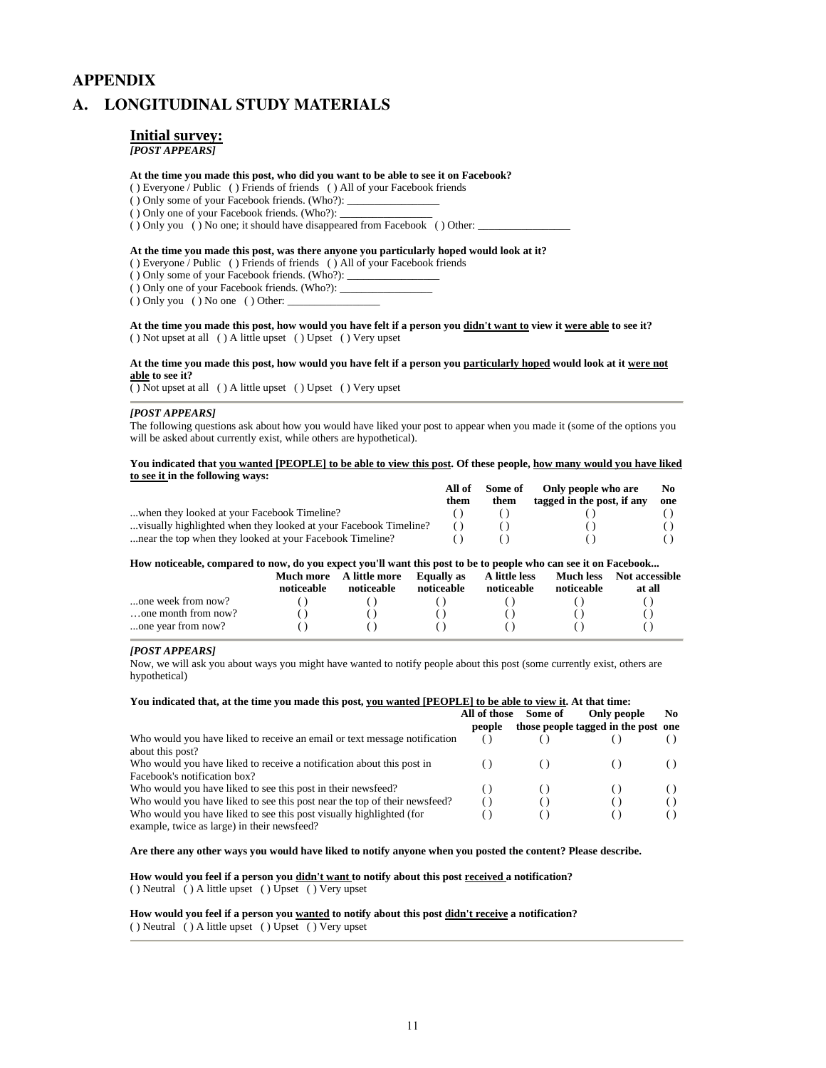# <span id="page-10-0"></span>APPENDIX A. LONGITUDINAL STUDY MATERIALS

# **Initial survey:**

*[POST APPEARS]* 

#### **At the time you made this post, who did you want to be able to see it on Facebook?**

- ( ) Everyone / Public ( ) Friends of friends ( ) All of your Facebook friends
- ( ) Only some of your Facebook friends. (Who?): \_
- ( ) Only one of your Facebook friends. (Who?): \_
- ( ) Only you ( ) No one; it should have disappeared from Facebook ( ) Other:

#### **At the time you made this post, was there anyone you particularly hoped would look at it?**

- ( ) Everyone / Public ( ) Friends of friends ( ) All of your Facebook friends
- ( ) Only some of your Facebook friends. (Who?): \_
- ( ) Only one of your Facebook friends. (Who?): \_\_\_\_\_\_\_\_\_\_\_\_\_\_\_\_\_
- ( ) Only you ( ) No one ( ) Other:  $\Box$

#### **At the time you made this post, how would you have felt if a person you didn't want to view it were able to see it?**  ( ) Not upset at all ( ) A little upset ( ) Upset ( ) Very upset

#### **At the time you made this post, how would you have felt if a person you particularly hoped would look at it were not able to see it?**

 $\overline{()}$  Not upset at all ( ) A little upset ( ) Upset ( ) Very upset

#### *[POST APPEARS]*

The following questions ask about how you would have liked your post to appear when you made it (some of the options you will be asked about currently exist, while others are hypothetical).

#### **You indicated that you wanted [PEOPLE] to be able to view this post. Of these people, how many would you have liked to see it in the following ways:**

|                                                                  | All of | Some of | Only people who are        | No. |
|------------------------------------------------------------------|--------|---------|----------------------------|-----|
|                                                                  | them   | them    | tagged in the post, if any | one |
| when they looked at your Facebook Timeline?                      |        |         |                            |     |
| visually highlighted when they looked at your Facebook Timeline? |        |         |                            |     |
| near the top when they looked at your Facebook Timeline?         |        |         |                            |     |

# **How noticeable, compared to now, do you expect you'll want this post to be to people who can see it on Facebook...**

|                              |            | Much more A little more Equally as A little less |            |            | Much less  | <b>Not accessible</b> |
|------------------------------|------------|--------------------------------------------------|------------|------------|------------|-----------------------|
|                              | noticeable | noticeable                                       | noticeable | noticeable | noticeable | at all                |
| one week from now?           |            |                                                  |            |            |            |                       |
| $\ldots$ one month from now? |            |                                                  |            |            |            |                       |
| one year from now?           |            |                                                  |            |            |            |                       |

#### *[POST APPEARS]*

Now, we will ask you about ways you might have wanted to notify people about this post (some currently exist, others are hypothetical)

#### **You indicated that, at the time you made this post, you wanted [PEOPLE] to be able to view it. At that time:**

|                                                                           | All of those<br>people | Some of                | Only people<br>those people tagged in the post one | No |
|---------------------------------------------------------------------------|------------------------|------------------------|----------------------------------------------------|----|
| Who would you have liked to receive an email or text message notification |                        |                        |                                                    |    |
| about this post?                                                          |                        |                        |                                                    |    |
| Who would you have liked to receive a notification about this post in     |                        |                        |                                                    |    |
| Facebook's notification box?                                              |                        |                        |                                                    |    |
| Who would you have liked to see this post in their newsfeed?              |                        |                        |                                                    |    |
| Who would you have liked to see this post near the top of their newsfeed? |                        | $\left( \quad \right)$ |                                                    |    |
| Who would you have liked to see this post visually highlighted (for       |                        |                        |                                                    |    |
| example, twice as large) in their newsfeed?                               |                        |                        |                                                    |    |

#### **Are there any other ways you would have liked to notify anyone when you posted the content? Please describe.**

#### **How would you feel if a person you didn't want to notify about this post received a notification?**  ( ) Neutral ( ) A little upset ( ) Upset ( ) Very upset

**How would you feel if a person you wanted to notify about this post didn't receive a notification?**  ( ) Neutral ( ) A little upset ( ) Upset ( ) Very upset